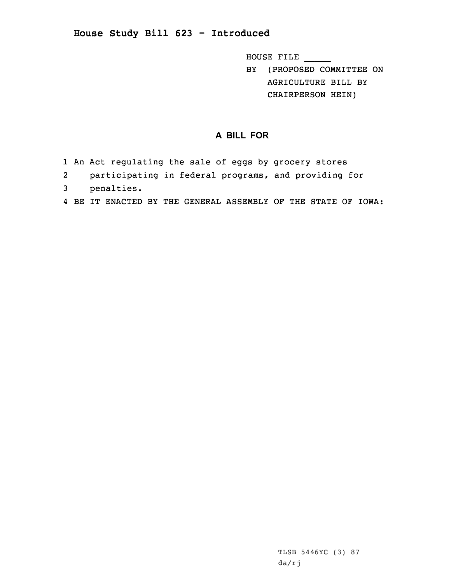## **House Study Bill 623 - Introduced**

HOUSE FILE \_\_\_\_\_

BY (PROPOSED COMMITTEE ON AGRICULTURE BILL BY CHAIRPERSON HEIN)

## **A BILL FOR**

- 1 An Act regulating the sale of eggs by grocery stores
- 2 participating in federal programs, and providing for
- 3 penalties.
- 4 BE IT ENACTED BY THE GENERAL ASSEMBLY OF THE STATE OF IOWA: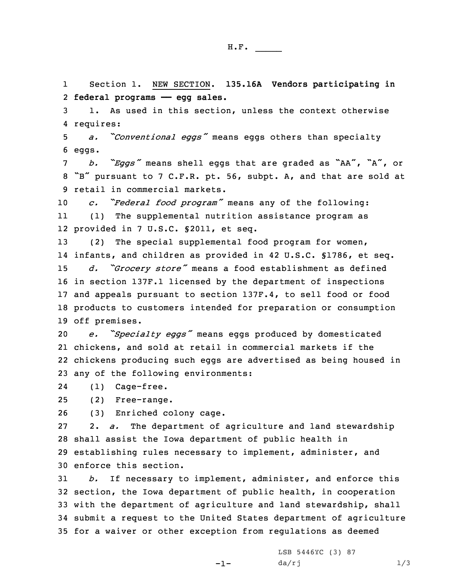1 Section 1. NEW SECTION. **135.16A Vendors participating in** 2 **federal programs —— egg sales.**

3 1. As used in this section, unless the context otherwise 4 requires:

<sup>5</sup> *a. "Conventional eggs"* means eggs others than specialty 6 eggs.

<sup>7</sup> *b. "Eggs"* means shell eggs that are graded as "AA", "A", or <sup>8</sup> "B" pursuant to <sup>7</sup> C.F.R. pt. 56, subpt. A, and that are sold at 9 retail in commercial markets.

<sup>10</sup> *c. "Federal food program"* means any of the following: 11 (1) The supplemental nutrition assistance program as 12 provided in 7 U.S.C. §2011, et seq.

 (2) The special supplemental food program for women, infants, and children as provided in 42 U.S.C. §1786, et seq. *d. "Grocery store"* means <sup>a</sup> food establishment as defined in section 137F.1 licensed by the department of inspections and appeals pursuant to section 137F.4, to sell food or food products to customers intended for preparation or consumption off premises.

 *e. "Specialty eggs"* means eggs produced by domesticated chickens, and sold at retail in commercial markets if the chickens producing such eggs are advertised as being housed in any of the following environments:

24(1) Cage-free.

25 (2) Free-range.

26 (3) Enriched colony cage.

 2. *a.* The department of agriculture and land stewardship shall assist the Iowa department of public health in establishing rules necessary to implement, administer, and enforce this section.

 *b.* If necessary to implement, administer, and enforce this section, the Iowa department of public health, in cooperation with the department of agriculture and land stewardship, shall submit <sup>a</sup> request to the United States department of agriculture for <sup>a</sup> waiver or other exception from regulations as deemed

 $-1-$ 

LSB 5446YC (3) 87  $da/rj$   $1/3$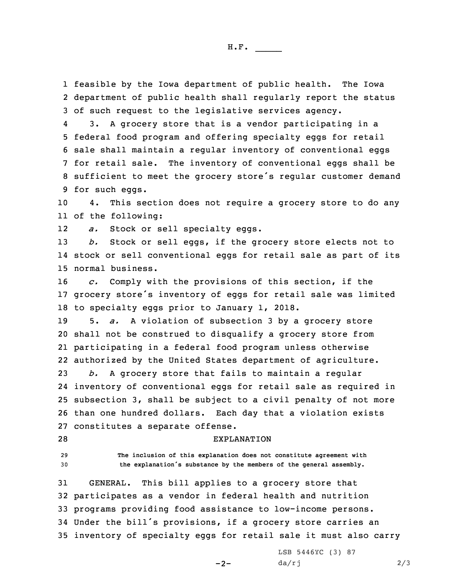1 feasible by the Iowa department of public health. The Iowa 2 department of public health shall regularly report the status 3 of such request to the legislative services agency.

4 3. <sup>A</sup> grocery store that is <sup>a</sup> vendor participating in <sup>a</sup> federal food program and offering specialty eggs for retail sale shall maintain <sup>a</sup> regular inventory of conventional eggs for retail sale. The inventory of conventional eggs shall be sufficient to meet the grocery store's regular customer demand for such eggs.

10 4. This section does not require <sup>a</sup> grocery store to do any 11 of the following:

12*a.* Stock or sell specialty eggs.

13 *b.* Stock or sell eggs, if the grocery store elects not to 14 stock or sell conventional eggs for retail sale as part of its 15 normal business.

16 *c.* Comply with the provisions of this section, if the <sup>17</sup> grocery store's inventory of eggs for retail sale was limited 18 to specialty eggs prior to January 1, 2018.

 5. *a.* <sup>A</sup> violation of subsection 3 by <sup>a</sup> grocery store shall not be construed to disqualify <sup>a</sup> grocery store from participating in <sup>a</sup> federal food program unless otherwise authorized by the United States department of agriculture.

 *b.* <sup>A</sup> grocery store that fails to maintain <sup>a</sup> regular inventory of conventional eggs for retail sale as required in subsection 3, shall be subject to <sup>a</sup> civil penalty of not more than one hundred dollars. Each day that <sup>a</sup> violation exists constitutes <sup>a</sup> separate offense.

28 EXPLANATION

29 **The inclusion of this explanation does not constitute agreement with** <sup>30</sup> **the explanation's substance by the members of the general assembly.**

 GENERAL. This bill applies to <sup>a</sup> grocery store that participates as <sup>a</sup> vendor in federal health and nutrition programs providing food assistance to low-income persons. Under the bill's provisions, if <sup>a</sup> grocery store carries an inventory of specialty eggs for retail sale it must also carry

 $-2-$ 

LSB 5446YC (3) 87  $da/rj$  2/3